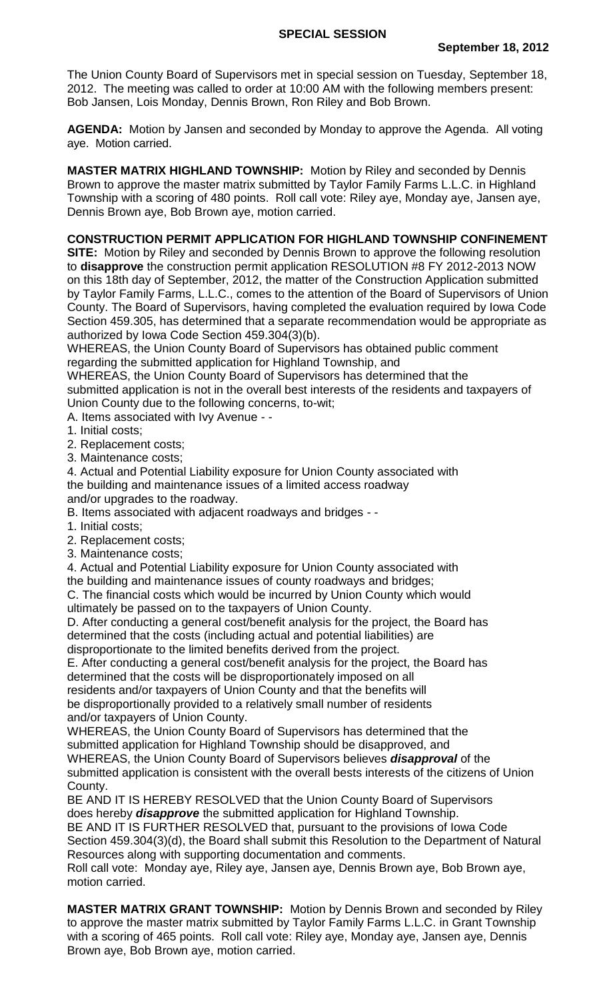The Union County Board of Supervisors met in special session on Tuesday, September 18, 2012. The meeting was called to order at 10:00 AM with the following members present: Bob Jansen, Lois Monday, Dennis Brown, Ron Riley and Bob Brown.

**AGENDA:** Motion by Jansen and seconded by Monday to approve the Agenda. All voting aye. Motion carried.

**MASTER MATRIX HIGHLAND TOWNSHIP:** Motion by Riley and seconded by Dennis Brown to approve the master matrix submitted by Taylor Family Farms L.L.C. in Highland Township with a scoring of 480 points. Roll call vote: Riley aye, Monday aye, Jansen aye, Dennis Brown aye, Bob Brown aye, motion carried.

## **CONSTRUCTION PERMIT APPLICATION FOR HIGHLAND TOWNSHIP CONFINEMENT**

**SITE:** Motion by Riley and seconded by Dennis Brown to approve the following resolution to **disapprove** the construction permit application RESOLUTION #8 FY 2012-2013 NOW on this 18th day of September, 2012, the matter of the Construction Application submitted by Taylor Family Farms, L.L.C., comes to the attention of the Board of Supervisors of Union County. The Board of Supervisors, having completed the evaluation required by Iowa Code Section 459.305, has determined that a separate recommendation would be appropriate as authorized by Iowa Code Section 459.304(3)(b).

WHEREAS, the Union County Board of Supervisors has obtained public comment regarding the submitted application for Highland Township, and

WHEREAS, the Union County Board of Supervisors has determined that the submitted application is not in the overall best interests of the residents and taxpayers of Union County due to the following concerns, to-wit;

## A. Items associated with Ivy Avenue - -

- 1. Initial costs;
- 2. Replacement costs;
- 3. Maintenance costs;

4. Actual and Potential Liability exposure for Union County associated with the building and maintenance issues of a limited access roadway

and/or upgrades to the roadway.

- B. Items associated with adjacent roadways and bridges -
- 1. Initial costs;
- 2. Replacement costs;
- 3. Maintenance costs;

4. Actual and Potential Liability exposure for Union County associated with the building and maintenance issues of county roadways and bridges;

C. The financial costs which would be incurred by Union County which would ultimately be passed on to the taxpayers of Union County.

D. After conducting a general cost/benefit analysis for the project, the Board has determined that the costs (including actual and potential liabilities) are disproportionate to the limited benefits derived from the project.

E. After conducting a general cost/benefit analysis for the project, the Board has determined that the costs will be disproportionately imposed on all residents and/or taxpayers of Union County and that the benefits will be disproportionally provided to a relatively small number of residents and/or taxpayers of Union County.

WHEREAS, the Union County Board of Supervisors has determined that the submitted application for Highland Township should be disapproved, and WHEREAS, the Union County Board of Supervisors believes *disapproval* of the submitted application is consistent with the overall bests interests of the citizens of Union County.

BE AND IT IS HEREBY RESOLVED that the Union County Board of Supervisors does hereby *disapprove* the submitted application for Highland Township. BE AND IT IS FURTHER RESOLVED that, pursuant to the provisions of Iowa Code Section 459.304(3)(d), the Board shall submit this Resolution to the Department of Natural Resources along with supporting documentation and comments.

Roll call vote: Monday aye, Riley aye, Jansen aye, Dennis Brown aye, Bob Brown aye, motion carried.

**MASTER MATRIX GRANT TOWNSHIP:** Motion by Dennis Brown and seconded by Riley to approve the master matrix submitted by Taylor Family Farms L.L.C. in Grant Township with a scoring of 465 points. Roll call vote: Riley aye, Monday aye, Jansen aye, Dennis Brown aye, Bob Brown aye, motion carried.